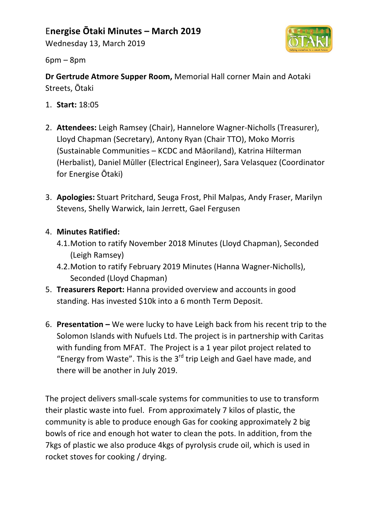## E**nergise Ōtaki Minutes – March 2019**

Wednesday 13, March 2019



 $6pm - 8pm$ 

**Dr Gertrude Atmore Supper Room, Memorial Hall corner Main and Aotaki** Streets, Ōtaki

- 1. **Start:** 18:05
- 2. **Attendees:** Leigh Ramsey (Chair), Hannelore Wagner-Nicholls (Treasurer), Lloyd Chapman (Secretary), Antony Ryan (Chair TTO), Moko Morris (Sustainable Communities - KCDC and Māoriland), Katrina Hilterman (Herbalist), Daniel Müller (Electrical Engineer), Sara Velasquez (Coordinator for Energise Otaki)
- 3. **Apologies:** Stuart Pritchard, Seuga Frost, Phil Malpas, Andy Fraser, Marilyn Stevens, Shelly Warwick, Iain Jerrett, Gael Fergusen

## 4. **Minutes Ratified:**

- 4.1. Motion to ratify November 2018 Minutes (Lloyd Chapman), Seconded (Leigh Ramsey)
- 4.2. Motion to ratify February 2019 Minutes (Hanna Wagner-Nicholls), Seconded (Lloyd Chapman)
- 5. **Treasurers Report:** Hanna provided overview and accounts in good standing. Has invested \$10k into a 6 month Term Deposit.
- 6. **Presentation** We were lucky to have Leigh back from his recent trip to the Solomon Islands with Nufuels Ltd. The project is in partnership with Caritas with funding from MFAT. The Project is a 1 year pilot project related to "Energy from Waste". This is the  $3^{rd}$  trip Leigh and Gael have made, and there will be another in July 2019.

The project delivers small-scale systems for communities to use to transform their plastic waste into fuel. From approximately 7 kilos of plastic, the community is able to produce enough Gas for cooking approximately 2 big bowls of rice and enough hot water to clean the pots. In addition, from the 7kgs of plastic we also produce 4kgs of pyrolysis crude oil, which is used in rocket stoves for cooking / drying.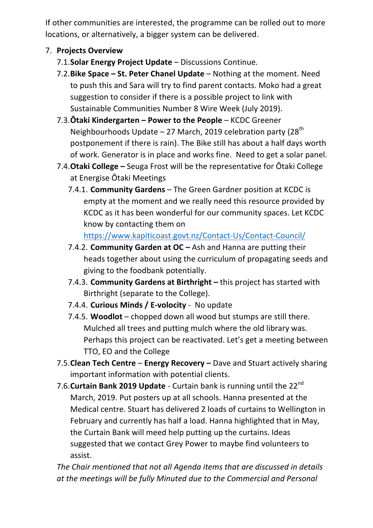If other communities are interested, the programme can be rolled out to more locations, or alternatively, a bigger system can be delivered.

## 7. **Projects Overview**

- 7.1. Solar Energy Project Update Discussions Continue.
- 7.2. Bike Space St. Peter Chanel Update Nothing at the moment. Need to push this and Sara will try to find parent contacts. Moko had a great suggestion to consider if there is a possible project to link with Sustainable Communities Number 8 Wire Week (July 2019).
- 7.3. Otaki Kindergarten Power to the People KCDC Greener Neighbourhoods Update – 27 March, 2019 celebration party (28<sup>th</sup>) postponement if there is rain). The Bike still has about a half days worth of work. Generator is in place and works fine. Need to get a solar panel.
- 7.4. Otaki College Seuga Frost will be the representative for Otaki College at Energise Otaki Meetings
	- 7.4.1. **Community Gardens** The Green Gardner position at KCDC is empty at the moment and we really need this resource provided by KCDC as it has been wonderful for our community spaces. Let KCDC know by contacting them on

https://www.kapiticoast.govt.nz/Contact-Us/Contact-Council/

- 7.4.2. **Community Garden at OC** Ash and Hanna are putting their heads together about using the curriculum of propagating seeds and giving to the foodbank potentially.
- 7.4.3. **Community Gardens at Birthright** this project has started with Birthright (separate to the College).
- 7.4.4. **Curious Minds / E-volocity** No update
- 7.4.5. **Woodlot** chopped down all wood but stumps are still there. Mulched all trees and putting mulch where the old library was. Perhaps this project can be reactivated. Let's get a meeting between TTO, EO and the College
- 7.5. Clean Tech Centre Energy Recovery Dave and Stuart actively sharing important information with potential clients.
- 7.6. Curtain Bank 2019 Update Curtain bank is running until the 22<sup>nd</sup> March, 2019. Put posters up at all schools. Hanna presented at the Medical centre. Stuart has delivered 2 loads of curtains to Wellington in February and currently has half a load. Hanna highlighted that in May, the Curtain Bank will meed help putting up the curtains. Ideas suggested that we contact Grey Power to maybe find volunteers to assist.

The Chair mentioned that not all Agenda items that are discussed in details at the meetings will be fully Minuted due to the Commercial and Personal